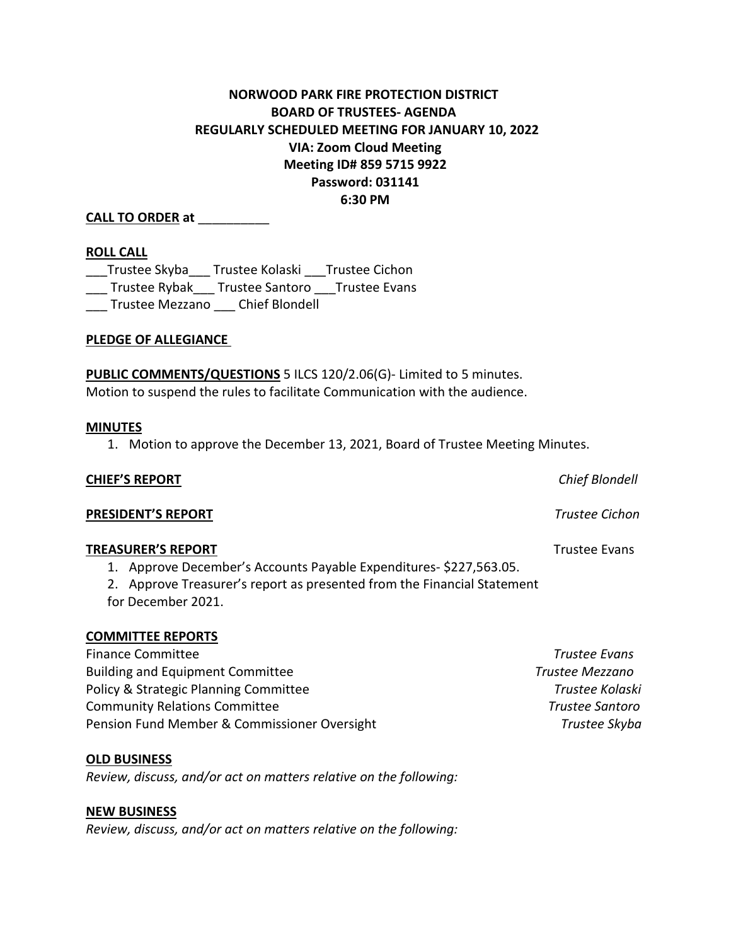# **NORWOOD PARK FIRE PROTECTION DISTRICT BOARD OF TRUSTEES- AGENDA REGULARLY SCHEDULED MEETING FOR JANUARY 10, 2022 VIA: Zoom Cloud Meeting Meeting ID# 859 5715 9922 Password: 031141 6:30 PM**

# **CALL TO ORDER at** \_\_\_\_\_\_\_\_\_\_

## **ROLL CALL**

\_\_\_Trustee Skyba\_\_\_ Trustee Kolaski \_\_\_Trustee Cichon \_\_\_ Trustee Rybak\_\_\_ Trustee Santoro Trustee Evans \_\_\_ Trustee Mezzano \_\_\_ Chief Blondell

**PLEDGE OF ALLEGIANCE**

**PUBLIC COMMENTS/QUESTIONS** 5 ILCS 120/2.06(G)- Limited to 5 minutes. Motion to suspend the rules to facilitate Communication with the audience.

#### **MINUTES**

1. Motion to approve the December 13, 2021, Board of Trustee Meeting Minutes.

| <b>CHIEF'S REPORT</b>                                                                                                                                                                        | Chief Blondell       |
|----------------------------------------------------------------------------------------------------------------------------------------------------------------------------------------------|----------------------|
| PRESIDENT'S REPORT                                                                                                                                                                           | Trustee Cichon       |
| <b>TREASURER'S REPORT</b><br>1. Approve December's Accounts Payable Expenditures-\$227,563.05.<br>Approve Treasurer's report as presented from the Financial Statement<br>for December 2021. | <b>Trustee Evans</b> |
| <b>COMMITTEE REPORTS</b>                                                                                                                                                                     |                      |
| <b>Finance Committee</b>                                                                                                                                                                     | <b>Trustee Evans</b> |

| Finance Commutee                             | <i><u>Hustee Evuns</u></i> |
|----------------------------------------------|----------------------------|
| <b>Building and Equipment Committee</b>      | Trustee Mezzano            |
| Policy & Strategic Planning Committee        | Trustee Kolaski            |
| <b>Community Relations Committee</b>         | Trustee Santoro            |
| Pension Fund Member & Commissioner Oversight | Trustee Skyba              |

#### **OLD BUSINESS**

*Review, discuss, and/or act on matters relative on the following:*

#### **NEW BUSINESS**

*Review, discuss, and/or act on matters relative on the following:*